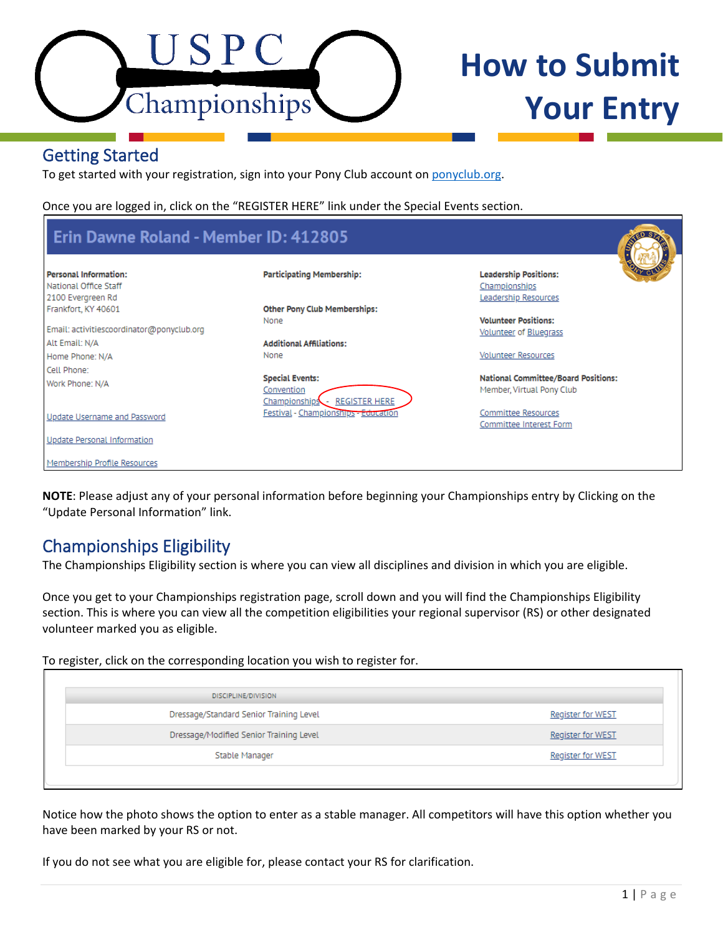

# **How to Submit Your Entry**

# Getting Started

To get started with your registration, sign into your Pony Club account on [ponyclub.org.](https://www.ponyclub.org/)

Once you are logged in, click on the "REGISTER HERE" link under the Special Events section.

| Erin Dawne Roland - Member ID: 412805                                                             |                                                                               | <b>SP</b>                                                                           |
|---------------------------------------------------------------------------------------------------|-------------------------------------------------------------------------------|-------------------------------------------------------------------------------------|
| <b>Personal Information:</b><br>National Office Staff<br>2100 Evergreen Rd<br>Frankfort, KY 40601 | <b>Participating Membership:</b><br><b>Other Pony Club Memberships:</b>       | <b>Leadership Positions:</b><br>Championships<br>Leadership Resources               |
| Email: activitiescoordinator@ponyclub.org<br>Alt Email: N/A<br>Home Phone: N/A                    | None<br><b>Additional Affiliations:</b><br>None                               | <b>Volunteer Positions:</b><br>Volunteer of Bluegrass<br><b>Volunteer Resources</b> |
| Cell Phone:<br>Work Phone: N/A                                                                    | <b>Special Events:</b><br>Convention<br><b>REGISTER HERE</b><br>Championships | <b>National Committee/Board Positions:</b><br>Member, Virtual Pony Club             |
| Update Username and Password<br>Update Personal Information<br>Membership Profile Resources       | Festival - Championships - Education                                          | Committee Resources<br>Committee Interest Form                                      |

**NOTE**: Please adjust any of your personal information before beginning your Championships entry by Clicking on the "Update Personal Information" link.

# Championships Eligibility

The Championships Eligibility section is where you can view all disciplines and division in which you are eligible.

Once you get to your Championships registration page, scroll down and you will find the Championships Eligibility section. This is where you can view all the competition eligibilities your regional supervisor (RS) or other designated volunteer marked you as eligible.

To register, click on the corresponding location you wish to register for.

| DISCIPLINE/DIVISION                     |                          |
|-----------------------------------------|--------------------------|
| Dressage/Standard Senior Training Level | <b>Register for WEST</b> |
| Dressage/Modified Senior Training Level | <b>Register for WEST</b> |
| Stable Manager                          | <b>Register for WEST</b> |

Notice how the photo shows the option to enter as a stable manager. All competitors will have this option whether you have been marked by your RS or not.

If you do not see what you are eligible for, please contact your RS for clarification.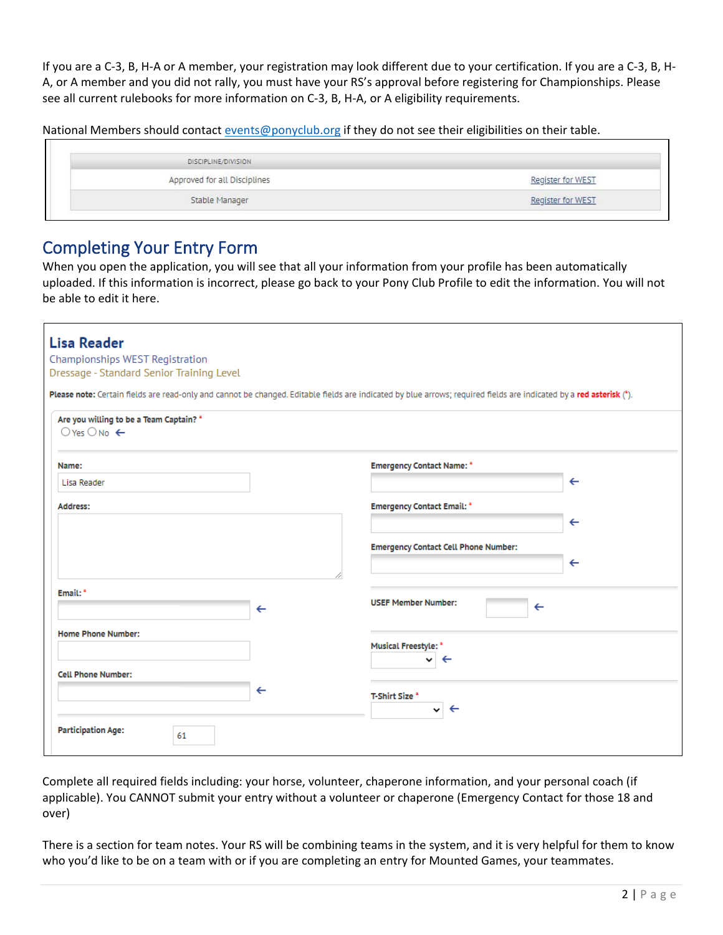If you are a C-3, B, H-A or A member, your registration may look different due to your certification. If you are a C-3, B, H-A, or A member and you did not rally, you must have your RS's approval before registering for Championships. Please see all current rulebooks for more information on C-3, B, H-A, or A eligibility requirements.

National Members should contact [events@ponyclub.org](mailto:events@ponyclub.org) if they do not see their eligibilities on their table.

| DISCIPLINE/DIVISION          |                   |
|------------------------------|-------------------|
| Approved for all Disciplines | Register for WEST |
| Stable Manager               | gister for WEST   |

## Completing Your Entry Form

When you open the application, you will see that all your information from your profile has been automatically uploaded. If this information is incorrect, please go back to your Pony Club Profile to edit the information. You will not be able to edit it here.

| <b>Lisa Reader</b><br>Championships WEST Registration<br>Dressage - Standard Senior Training Level |                                                                                                                                                                     |
|----------------------------------------------------------------------------------------------------|---------------------------------------------------------------------------------------------------------------------------------------------------------------------|
|                                                                                                    | Please note: Certain fields are read-only and cannot be changed. Editable fields are indicated by blue arrows; required fields are indicated by a red asterisk (*). |
| Are you willing to be a Team Captain? *<br>$O$ Yes $O$ No $\leftarrow$                             |                                                                                                                                                                     |
| Name:                                                                                              | <b>Emergency Contact Name: *</b>                                                                                                                                    |
| Lisa Reader                                                                                        | $\leftarrow$                                                                                                                                                        |
| Address:                                                                                           | <b>Emergency Contact Email: *</b>                                                                                                                                   |
|                                                                                                    | $\leftarrow$                                                                                                                                                        |
|                                                                                                    | <b>Emergency Contact Cell Phone Number:</b>                                                                                                                         |
|                                                                                                    | $\leftarrow$                                                                                                                                                        |
| Email: <sup>*</sup><br>$\leftarrow$                                                                | <b>USEF Member Number:</b><br>$\leftarrow$                                                                                                                          |
| <b>Home Phone Number:</b>                                                                          | Musical Freestyle: *<br>$\leftarrow$<br>◡                                                                                                                           |
| <b>Cell Phone Number:</b>                                                                          |                                                                                                                                                                     |
| $\leftarrow$                                                                                       | <b>T-Shirt Size *</b><br>$\leftarrow$<br>◡                                                                                                                          |
| <b>Participation Age:</b><br>61                                                                    |                                                                                                                                                                     |

Complete all required fields including: your horse, volunteer, chaperone information, and your personal coach (if applicable). You CANNOT submit your entry without a volunteer or chaperone (Emergency Contact for those 18 and over)

There is a section for team notes. Your RS will be combining teams in the system, and it is very helpful for them to know who you'd like to be on a team with or if you are completing an entry for Mounted Games, your teammates.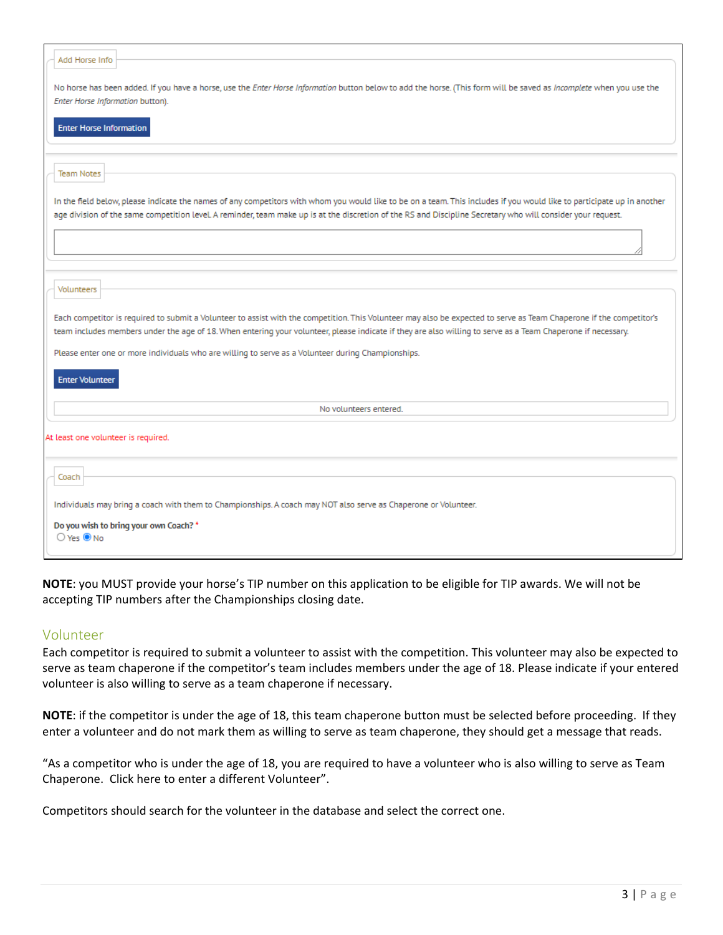| Add Horse Info                                                                                                                                                                                                                                                                                                                          |
|-----------------------------------------------------------------------------------------------------------------------------------------------------------------------------------------------------------------------------------------------------------------------------------------------------------------------------------------|
| No horse has been added. If you have a horse, use the Enter Horse Information button below to add the horse. (This form will be saved as Incomplete when you use the<br>Enter Horse Information button).                                                                                                                                |
| <b>Enter Horse Information</b>                                                                                                                                                                                                                                                                                                          |
|                                                                                                                                                                                                                                                                                                                                         |
| <b>Team Notes</b>                                                                                                                                                                                                                                                                                                                       |
| In the field below, please indicate the names of any competitors with whom you would like to be on a team. This includes if you would like to participate up in another<br>age division of the same competition level. A reminder, team make up is at the discretion of the RS and Discipline Secretary who will consider your request. |
|                                                                                                                                                                                                                                                                                                                                         |
|                                                                                                                                                                                                                                                                                                                                         |
| Volunteers                                                                                                                                                                                                                                                                                                                              |
| Each competitor is required to submit a Volunteer to assist with the competition. This Volunteer may also be expected to serve as Team Chaperone if the competitor's<br>team includes members under the age of 18. When entering your volunteer, please indicate if they are also willing to serve as a Team Chaperone if necessary.    |
| Please enter one or more individuals who are willing to serve as a Volunteer during Championships.                                                                                                                                                                                                                                      |
| <b>Enter Volunteer</b>                                                                                                                                                                                                                                                                                                                  |
| No volunteers entered.                                                                                                                                                                                                                                                                                                                  |
| At least one volunteer is required.                                                                                                                                                                                                                                                                                                     |
| Coach                                                                                                                                                                                                                                                                                                                                   |
| Individuals may bring a coach with them to Championships. A coach may NOT also serve as Chaperone or Volunteer.                                                                                                                                                                                                                         |
| Do you wish to bring your own Coach? *<br>$O$ Yes $\circledcirc$ No                                                                                                                                                                                                                                                                     |

**NOTE**: you MUST provide your horse's TIP number on this application to be eligible for TIP awards. We will not be accepting TIP numbers after the Championships closing date.

### Volunteer

Each competitor is required to submit a volunteer to assist with the competition. This volunteer may also be expected to serve as team chaperone if the competitor's team includes members under the age of 18. Please indicate if your entered volunteer is also willing to serve as a team chaperone if necessary.

**NOTE**: if the competitor is under the age of 18, this team chaperone button must be selected before proceeding. If they enter a volunteer and do not mark them as willing to serve as team chaperone, they should get a message that reads.

"As a competitor who is under the age of 18, you are required to have a volunteer who is also willing to serve as Team Chaperone. Click here to enter a different Volunteer".

Competitors should search for the volunteer in the database and select the correct one.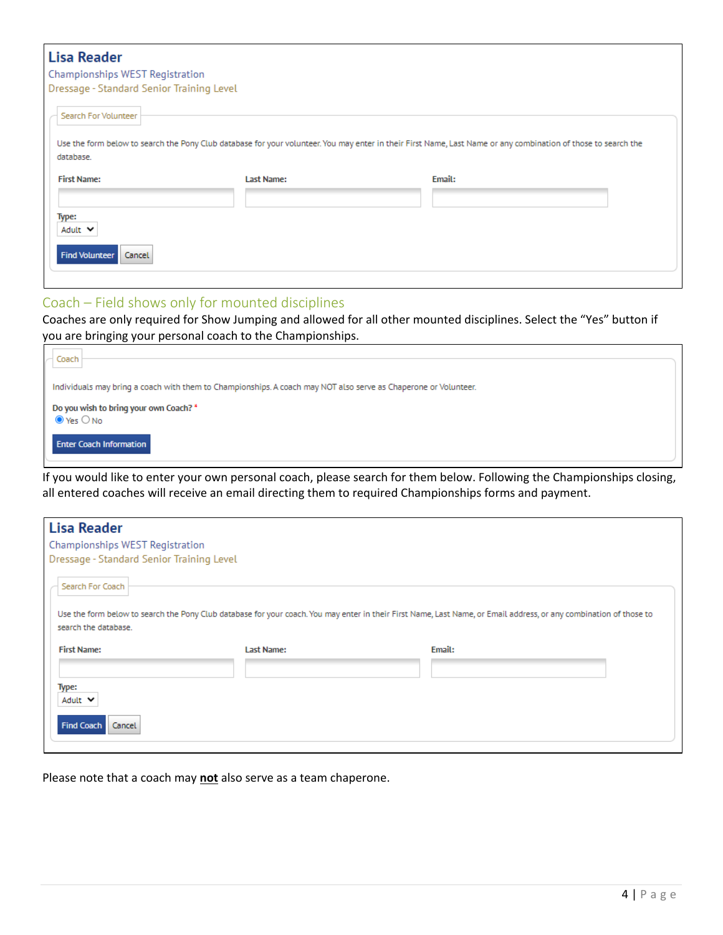## **Lisa Reader**

### Championships WEST Registration

Dressage - Standard Senior Training Level

| Last Name: | Email: |                                                                                                                                                                |
|------------|--------|----------------------------------------------------------------------------------------------------------------------------------------------------------------|
|            |        |                                                                                                                                                                |
|            |        |                                                                                                                                                                |
|            |        |                                                                                                                                                                |
|            |        | Use the form below to search the Pony Club database for your volunteer. You may enter in their First Name, Last Name or any combination of those to search the |

#### Coach – Field shows only for mounted disciplines

Coaches are only required for Show Jumping and allowed for all other mounted disciplines. Select the "Yes" button if you are bringing your personal coach to the Championships.

| Coach                                                                                                           |
|-----------------------------------------------------------------------------------------------------------------|
| Individuals may bring a coach with them to Championships. A coach may NOT also serve as Chaperone or Volunteer. |
| Do you wish to bring your own Coach? *<br>$\odot$ Yes $\bigcirc$ No                                             |
| <b>Enter Coach Information</b>                                                                                  |

If you would like to enter your own personal coach, please search for them below. Following the Championships closing, all entered coaches will receive an email directing them to required Championships forms and payment.

| <b>Lisa Reader</b>                        |            |                                                                                                                                                                    |
|-------------------------------------------|------------|--------------------------------------------------------------------------------------------------------------------------------------------------------------------|
| Championships WEST Registration           |            |                                                                                                                                                                    |
| Dressage - Standard Senior Training Level |            |                                                                                                                                                                    |
| Search For Coach<br>search the database.  |            | Use the form below to search the Pony Club database for your coach. You may enter in their First Name, Last Name, or Email address, or any combination of those to |
| <b>First Name:</b>                        | Last Name: | Email:                                                                                                                                                             |
| Type:<br>Adult V                          |            |                                                                                                                                                                    |
| <b>Find Coach</b><br>Cancel               |            |                                                                                                                                                                    |

Please note that a coach may **not** also serve as a team chaperone.